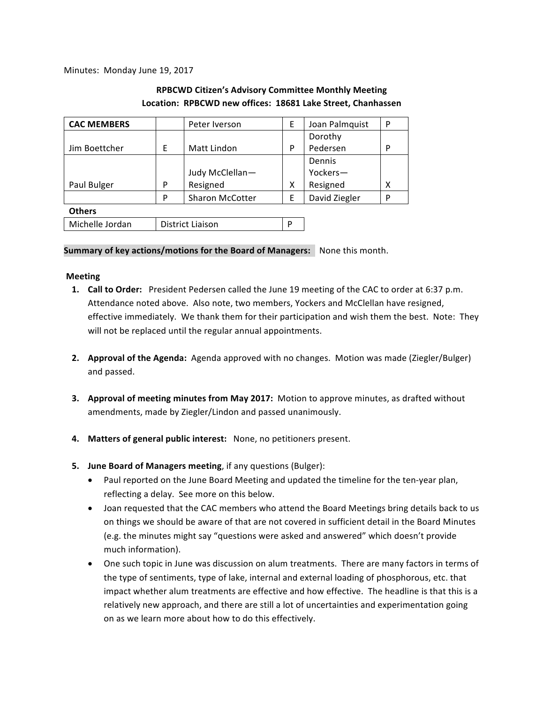Minutes: Monday June 19, 2017

# **RPBCWD Citizen's Advisory Committee Monthly Meeting** Location: RPBCWD new offices: 18681 Lake Street, Chanhassen

| <b>CAC MEMBERS</b> |                         | Peter Iverson          | E | Joan Palmquist | P |
|--------------------|-------------------------|------------------------|---|----------------|---|
|                    |                         |                        |   | Dorothy        |   |
| Jim Boettcher      | E                       | Matt Lindon            | P | Pedersen       | P |
|                    |                         |                        |   | Dennis         |   |
|                    |                         | Judy McClellan-        |   | Yockers-       |   |
| Paul Bulger        | P                       | Resigned               | Χ | Resigned       | χ |
|                    | P                       | <b>Sharon McCotter</b> | E | David Ziegler  | P |
| <b>Others</b>      |                         |                        |   |                |   |
| Michelle Jordan    | <b>District Liaison</b> |                        | D |                |   |

**Summary of key actions/motions for the Board of Managers:** None this month.

## **Meeting**

- **1. Call to Order:** President Pedersen called the June 19 meeting of the CAC to order at 6:37 p.m. Attendance noted above. Also note, two members, Yockers and McClellan have resigned, effective immediately. We thank them for their participation and wish them the best. Note: They will not be replaced until the regular annual appointments.
- **2. Approval of the Agenda:** Agenda approved with no changes. Motion was made (Ziegler/Bulger) and passed.
- **3.** Approval of meeting minutes from May 2017: Motion to approve minutes, as drafted without amendments, made by Ziegler/Lindon and passed unanimously.
- 4. Matters of general public interest: None, no petitioners present.
- **5. June Board of Managers meeting**, if any questions (Bulger):
	- Paul reported on the June Board Meeting and updated the timeline for the ten-year plan, reflecting a delay. See more on this below.
	- Joan requested that the CAC members who attend the Board Meetings bring details back to us on things we should be aware of that are not covered in sufficient detail in the Board Minutes (e.g. the minutes might say "questions were asked and answered" which doesn't provide much information).
	- One such topic in June was discussion on alum treatments. There are many factors in terms of the type of sentiments, type of lake, internal and external loading of phosphorous, etc. that impact whether alum treatments are effective and how effective. The headline is that this is a relatively new approach, and there are still a lot of uncertainties and experimentation going on as we learn more about how to do this effectively.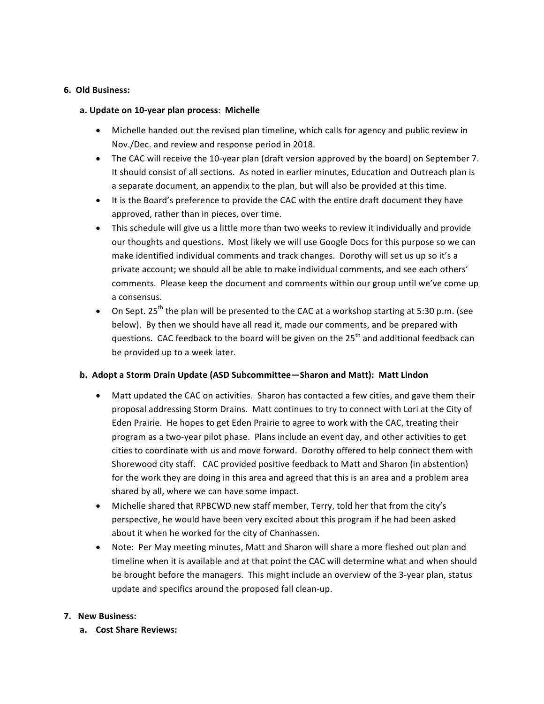### **6. Old Business:**

### **a. Update on 10-year plan process**: **Michelle**

- Michelle handed out the revised plan timeline, which calls for agency and public review in Nov./Dec. and review and response period in 2018.
- The CAC will receive the 10-year plan (draft version approved by the board) on September 7. It should consist of all sections. As noted in earlier minutes, Education and Outreach plan is a separate document, an appendix to the plan, but will also be provided at this time.
- It is the Board's preference to provide the CAC with the entire draft document they have approved, rather than in pieces, over time.
- This schedule will give us a little more than two weeks to review it individually and provide our thoughts and questions. Most likely we will use Google Docs for this purpose so we can make identified individual comments and track changes. Dorothy will set us up so it's a private account; we should all be able to make individual comments, and see each others' comments. Please keep the document and comments within our group until we've come up a consensus.
- On Sept.  $25^{th}$  the plan will be presented to the CAC at a workshop starting at 5:30 p.m. (see below). By then we should have all read it, made our comments, and be prepared with questions. CAC feedback to the board will be given on the  $25<sup>th</sup>$  and additional feedback can be provided up to a week later.

## **b.** Adopt a Storm Drain Update (ASD Subcommittee—Sharon and Matt): Matt Lindon

- Matt updated the CAC on activities. Sharon has contacted a few cities, and gave them their proposal addressing Storm Drains. Matt continues to try to connect with Lori at the City of Eden Prairie. He hopes to get Eden Prairie to agree to work with the CAC, treating their program as a two-year pilot phase. Plans include an event day, and other activities to get cities to coordinate with us and move forward. Dorothy offered to help connect them with Shorewood city staff. CAC provided positive feedback to Matt and Sharon (in abstention) for the work they are doing in this area and agreed that this is an area and a problem area shared by all, where we can have some impact.
- Michelle shared that RPBCWD new staff member, Terry, told her that from the city's perspective, he would have been very excited about this program if he had been asked about it when he worked for the city of Chanhassen.
- Note: Per May meeting minutes, Matt and Sharon will share a more fleshed out plan and timeline when it is available and at that point the CAC will determine what and when should be brought before the managers. This might include an overview of the 3-year plan, status update and specifics around the proposed fall clean-up.

## **7.** New Business:

**a. Cost Share Reviews:**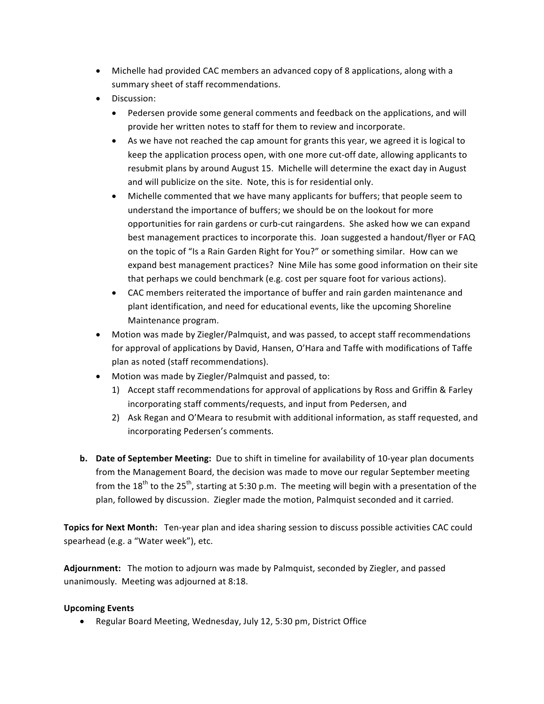- Michelle had provided CAC members an advanced copy of 8 applications, along with a summary sheet of staff recommendations.
- Discussion:
	- Pedersen provide some general comments and feedback on the applications, and will provide her written notes to staff for them to review and incorporate.
	- As we have not reached the cap amount for grants this year, we agreed it is logical to keep the application process open, with one more cut-off date, allowing applicants to resubmit plans by around August 15. Michelle will determine the exact day in August and will publicize on the site. Note, this is for residential only.
	- Michelle commented that we have many applicants for buffers; that people seem to understand the importance of buffers; we should be on the lookout for more opportunities for rain gardens or curb-cut raingardens. She asked how we can expand best management practices to incorporate this. Joan suggested a handout/flyer or FAQ on the topic of "Is a Rain Garden Right for You?" or something similar. How can we expand best management practices? Nine Mile has some good information on their site that perhaps we could benchmark (e.g. cost per square foot for various actions).
	- CAC members reiterated the importance of buffer and rain garden maintenance and plant identification, and need for educational events, like the upcoming Shoreline Maintenance program.
- Motion was made by Ziegler/Palmquist, and was passed, to accept staff recommendations for approval of applications by David, Hansen, O'Hara and Taffe with modifications of Taffe plan as noted (staff recommendations).
- Motion was made by Ziegler/Palmquist and passed, to:
	- 1) Accept staff recommendations for approval of applications by Ross and Griffin & Farley incorporating staff comments/requests, and input from Pedersen, and
	- 2) Ask Regan and O'Meara to resubmit with additional information, as staff requested, and incorporating Pedersen's comments.
- **b.** Date of September Meeting: Due to shift in timeline for availability of 10-year plan documents from the Management Board, the decision was made to move our regular September meeting from the 18<sup>th</sup> to the 25<sup>th</sup>, starting at 5:30 p.m. The meeting will begin with a presentation of the plan, followed by discussion. Ziegler made the motion, Palmquist seconded and it carried.

**Topics for Next Month:** Ten-year plan and idea sharing session to discuss possible activities CAC could spearhead (e.g. a "Water week"), etc.

Adjournment: The motion to adjourn was made by Palmquist, seconded by Ziegler, and passed unanimously. Meeting was adjourned at 8:18.

## **Upcoming Events**

• Regular Board Meeting, Wednesday, July 12, 5:30 pm, District Office